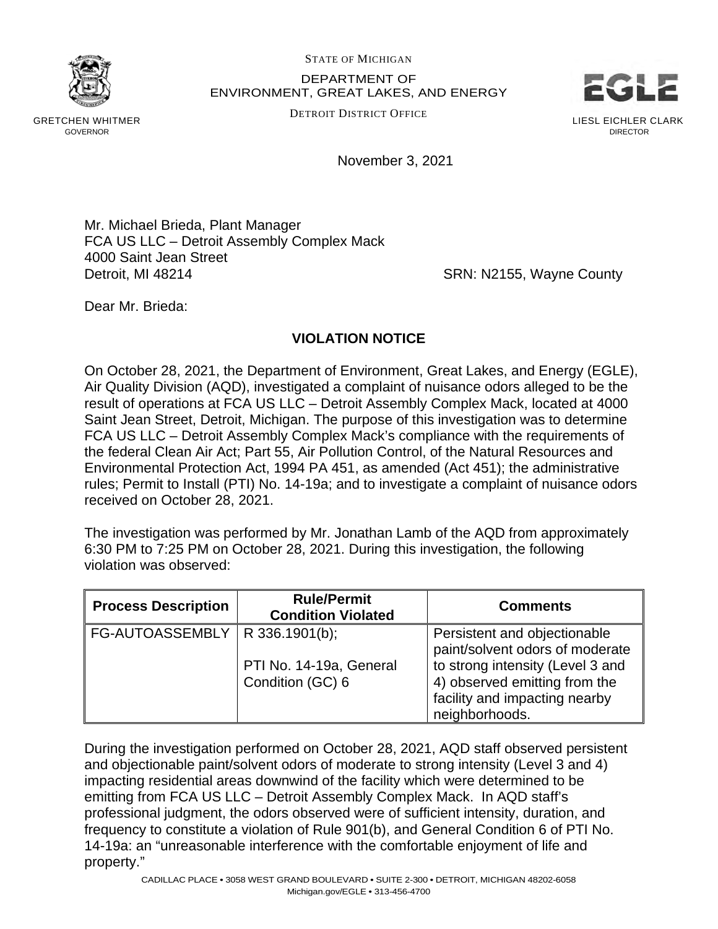

STATE OF MICHIGAN

DEPARTMENT OF ENVIRONMENT, GREAT LAKES, AND ENERGY

DETROIT DISTRICT OFFICE



GRETCHEN WHITMER GOVERNOR

November 3, 2021

Mr. Michael Brieda, Plant Manager FCA US LLC – Detroit Assembly Complex Mack 4000 Saint Jean Street Detroit, MI 48214 **SRN: N2155, Wayne County** 

Dear Mr. Brieda:

## **VIOLATION NOTICE**

On October 28, 2021, the Department of Environment, Great Lakes, and Energy (EGLE), Air Quality Division (AQD), investigated a complaint of nuisance odors alleged to be the result of operations at FCA US LLC – Detroit Assembly Complex Mack, located at 4000 Saint Jean Street, Detroit, Michigan. The purpose of this investigation was to determine FCA US LLC – Detroit Assembly Complex Mack's compliance with the requirements of the federal Clean Air Act; Part 55, Air Pollution Control, of the Natural Resources and Environmental Protection Act, 1994 PA 451, as amended (Act 451); the administrative rules; Permit to Install (PTI) No. 14-19a; and to investigate a complaint of nuisance odors received on October 28, 2021.

The investigation was performed by Mr. Jonathan Lamb of the AQD from approximately 6:30 PM to 7:25 PM on October 28, 2021. During this investigation, the following violation was observed:

| <b>Process Description</b>       | <b>Rule/Permit</b><br><b>Condition Violated</b> | <b>Comments</b>                                                                                                      |
|----------------------------------|-------------------------------------------------|----------------------------------------------------------------------------------------------------------------------|
| FG-AUTOASSEMBLY   R 336.1901(b); |                                                 | Persistent and objectionable<br>paint/solvent odors of moderate                                                      |
|                                  | PTI No. 14-19a, General<br>Condition (GC) 6     | to strong intensity (Level 3 and<br>4) observed emitting from the<br>facility and impacting nearby<br>neighborhoods. |

During the investigation performed on October 28, 2021, AQD staff observed persistent and objectionable paint/solvent odors of moderate to strong intensity (Level 3 and 4) impacting residential areas downwind of the facility which were determined to be emitting from FCA US LLC – Detroit Assembly Complex Mack. In AQD staff's professional judgment, the odors observed were of sufficient intensity, duration, and frequency to constitute a violation of Rule 901(b), and General Condition 6 of PTI No. 14-19a: an "unreasonable interference with the comfortable enjoyment of life and property."